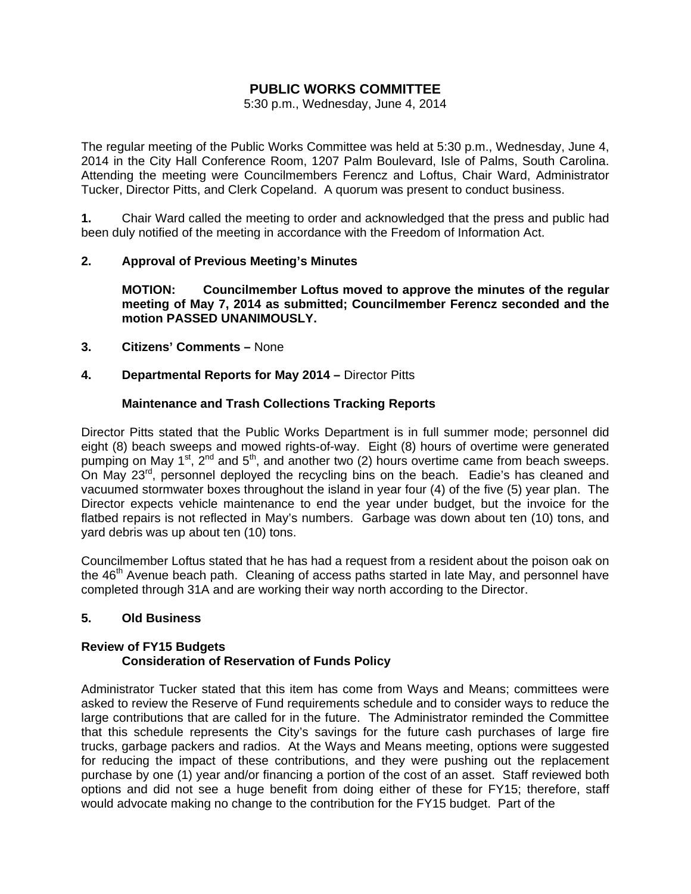# **PUBLIC WORKS COMMITTEE**

5:30 p.m., Wednesday, June 4, 2014

The regular meeting of the Public Works Committee was held at 5:30 p.m., Wednesday, June 4, 2014 in the City Hall Conference Room, 1207 Palm Boulevard, Isle of Palms, South Carolina. Attending the meeting were Councilmembers Ferencz and Loftus, Chair Ward, Administrator Tucker, Director Pitts, and Clerk Copeland. A quorum was present to conduct business.

**1.** Chair Ward called the meeting to order and acknowledged that the press and public had been duly notified of the meeting in accordance with the Freedom of Information Act.

# **2. Approval of Previous Meeting's Minutes**

 **MOTION: Councilmember Loftus moved to approve the minutes of the regular meeting of May 7, 2014 as submitted; Councilmember Ferencz seconded and the motion PASSED UNANIMOUSLY.** 

- **3. Citizens' Comments** None
- **4. Departmental Reports for May 2014** Director Pitts

#### **Maintenance and Trash Collections Tracking Reports**

Director Pitts stated that the Public Works Department is in full summer mode; personnel did eight (8) beach sweeps and mowed rights-of-way. Eight (8) hours of overtime were generated pumping on May 1<sup>st</sup>,  $2^{nd}$  and  $5^{th}$ , and another two (2) hours overtime came from beach sweeps. On May  $23^{\text{rd}}$ , personnel deployed the recycling bins on the beach. Eadie's has cleaned and vacuumed stormwater boxes throughout the island in year four (4) of the five (5) year plan. The Director expects vehicle maintenance to end the year under budget, but the invoice for the flatbed repairs is not reflected in May's numbers. Garbage was down about ten (10) tons, and yard debris was up about ten (10) tons.

Councilmember Loftus stated that he has had a request from a resident about the poison oak on the 46<sup>th</sup> Avenue beach path. Cleaning of access paths started in late May, and personnel have completed through 31A and are working their way north according to the Director.

# **5. Old Business**

# **Review of FY15 Budgets Consideration of Reservation of Funds Policy**

Administrator Tucker stated that this item has come from Ways and Means; committees were asked to review the Reserve of Fund requirements schedule and to consider ways to reduce the large contributions that are called for in the future. The Administrator reminded the Committee that this schedule represents the City's savings for the future cash purchases of large fire trucks, garbage packers and radios. At the Ways and Means meeting, options were suggested for reducing the impact of these contributions, and they were pushing out the replacement purchase by one (1) year and/or financing a portion of the cost of an asset. Staff reviewed both options and did not see a huge benefit from doing either of these for FY15; therefore, staff would advocate making no change to the contribution for the FY15 budget. Part of the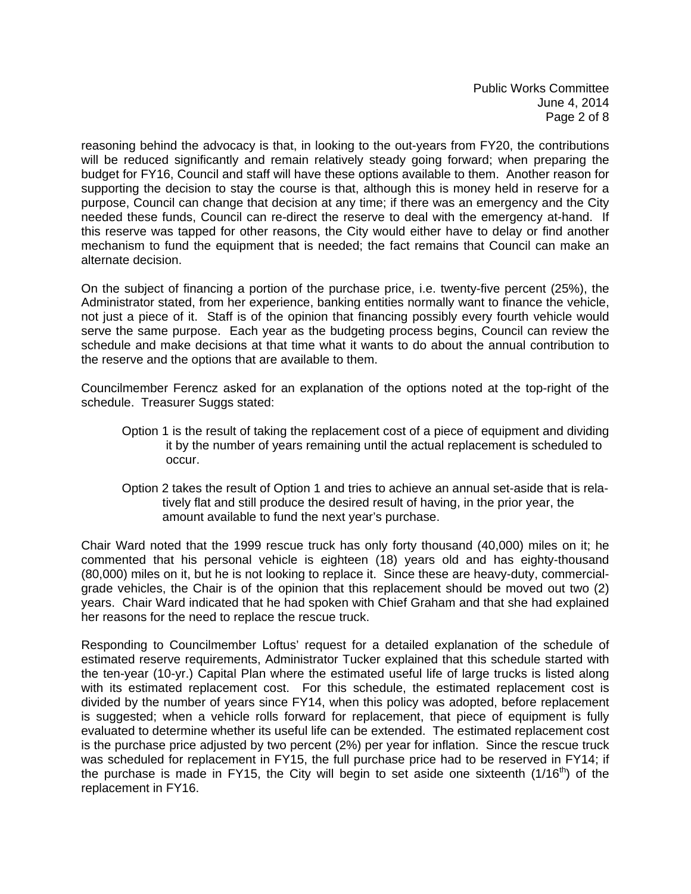Public Works Committee June 4, 2014 Page 2 of 8

reasoning behind the advocacy is that, in looking to the out-years from FY20, the contributions will be reduced significantly and remain relatively steady going forward; when preparing the budget for FY16, Council and staff will have these options available to them. Another reason for supporting the decision to stay the course is that, although this is money held in reserve for a purpose, Council can change that decision at any time; if there was an emergency and the City needed these funds, Council can re-direct the reserve to deal with the emergency at-hand. If this reserve was tapped for other reasons, the City would either have to delay or find another mechanism to fund the equipment that is needed; the fact remains that Council can make an alternate decision.

On the subject of financing a portion of the purchase price, i.e. twenty-five percent (25%), the Administrator stated, from her experience, banking entities normally want to finance the vehicle, not just a piece of it. Staff is of the opinion that financing possibly every fourth vehicle would serve the same purpose. Each year as the budgeting process begins, Council can review the schedule and make decisions at that time what it wants to do about the annual contribution to the reserve and the options that are available to them.

Councilmember Ferencz asked for an explanation of the options noted at the top-right of the schedule. Treasurer Suggs stated:

- Option 1 is the result of taking the replacement cost of a piece of equipment and dividing it by the number of years remaining until the actual replacement is scheduled to occur.
- Option 2 takes the result of Option 1 and tries to achieve an annual set-aside that is rela tively flat and still produce the desired result of having, in the prior year, the amount available to fund the next year's purchase.

Chair Ward noted that the 1999 rescue truck has only forty thousand (40,000) miles on it; he commented that his personal vehicle is eighteen (18) years old and has eighty-thousand (80,000) miles on it, but he is not looking to replace it. Since these are heavy-duty, commercialgrade vehicles, the Chair is of the opinion that this replacement should be moved out two (2) years. Chair Ward indicated that he had spoken with Chief Graham and that she had explained her reasons for the need to replace the rescue truck.

Responding to Councilmember Loftus' request for a detailed explanation of the schedule of estimated reserve requirements, Administrator Tucker explained that this schedule started with the ten-year (10-yr.) Capital Plan where the estimated useful life of large trucks is listed along with its estimated replacement cost. For this schedule, the estimated replacement cost is divided by the number of years since FY14, when this policy was adopted, before replacement is suggested; when a vehicle rolls forward for replacement, that piece of equipment is fully evaluated to determine whether its useful life can be extended. The estimated replacement cost is the purchase price adjusted by two percent (2%) per year for inflation. Since the rescue truck was scheduled for replacement in FY15, the full purchase price had to be reserved in FY14; if the purchase is made in FY15, the City will begin to set aside one sixteenth  $(1/16<sup>th</sup>)$  of the replacement in FY16.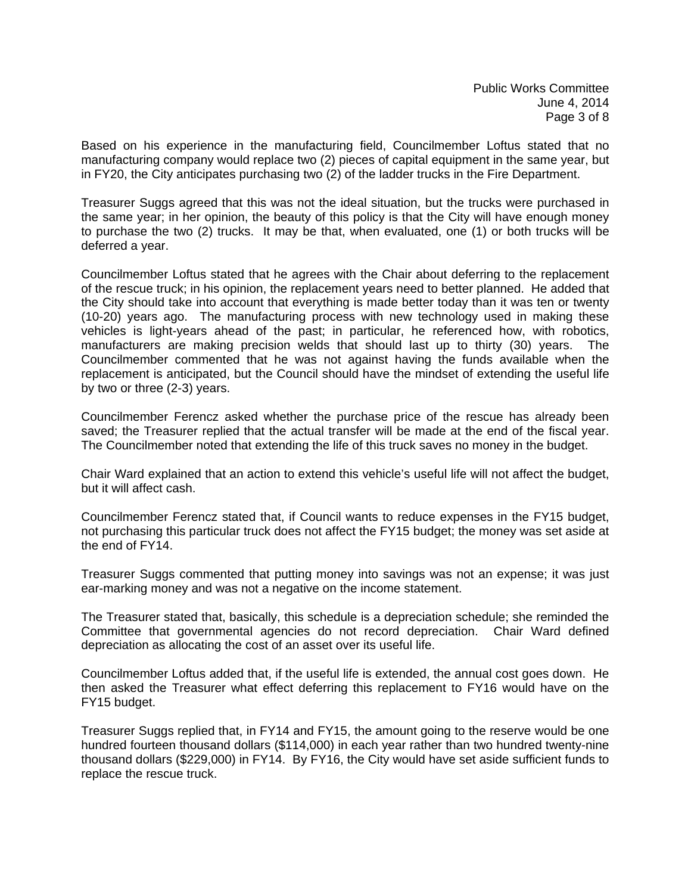Based on his experience in the manufacturing field, Councilmember Loftus stated that no manufacturing company would replace two (2) pieces of capital equipment in the same year, but in FY20, the City anticipates purchasing two (2) of the ladder trucks in the Fire Department.

Treasurer Suggs agreed that this was not the ideal situation, but the trucks were purchased in the same year; in her opinion, the beauty of this policy is that the City will have enough money to purchase the two (2) trucks. It may be that, when evaluated, one (1) or both trucks will be deferred a year.

Councilmember Loftus stated that he agrees with the Chair about deferring to the replacement of the rescue truck; in his opinion, the replacement years need to better planned. He added that the City should take into account that everything is made better today than it was ten or twenty (10-20) years ago. The manufacturing process with new technology used in making these vehicles is light-years ahead of the past; in particular, he referenced how, with robotics, manufacturers are making precision welds that should last up to thirty (30) years. The Councilmember commented that he was not against having the funds available when the replacement is anticipated, but the Council should have the mindset of extending the useful life by two or three (2-3) years.

Councilmember Ferencz asked whether the purchase price of the rescue has already been saved; the Treasurer replied that the actual transfer will be made at the end of the fiscal year. The Councilmember noted that extending the life of this truck saves no money in the budget.

Chair Ward explained that an action to extend this vehicle's useful life will not affect the budget, but it will affect cash.

Councilmember Ferencz stated that, if Council wants to reduce expenses in the FY15 budget, not purchasing this particular truck does not affect the FY15 budget; the money was set aside at the end of FY14.

Treasurer Suggs commented that putting money into savings was not an expense; it was just ear-marking money and was not a negative on the income statement.

The Treasurer stated that, basically, this schedule is a depreciation schedule; she reminded the Committee that governmental agencies do not record depreciation. Chair Ward defined depreciation as allocating the cost of an asset over its useful life.

Councilmember Loftus added that, if the useful life is extended, the annual cost goes down. He then asked the Treasurer what effect deferring this replacement to FY16 would have on the FY15 budget.

Treasurer Suggs replied that, in FY14 and FY15, the amount going to the reserve would be one hundred fourteen thousand dollars (\$114,000) in each year rather than two hundred twenty-nine thousand dollars (\$229,000) in FY14. By FY16, the City would have set aside sufficient funds to replace the rescue truck.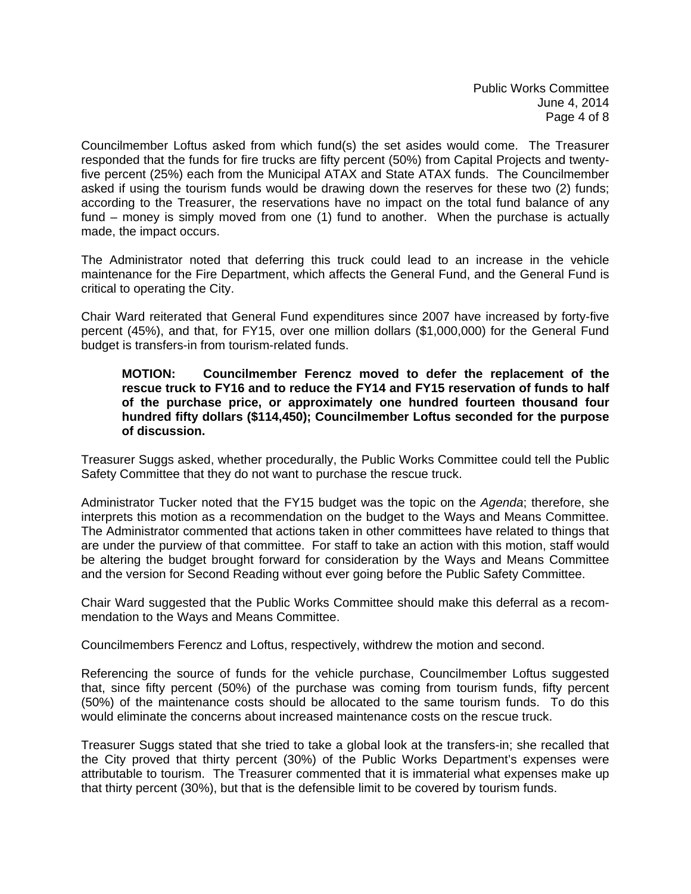Councilmember Loftus asked from which fund(s) the set asides would come. The Treasurer responded that the funds for fire trucks are fifty percent (50%) from Capital Projects and twentyfive percent (25%) each from the Municipal ATAX and State ATAX funds. The Councilmember asked if using the tourism funds would be drawing down the reserves for these two (2) funds; according to the Treasurer, the reservations have no impact on the total fund balance of any fund – money is simply moved from one (1) fund to another. When the purchase is actually made, the impact occurs.

The Administrator noted that deferring this truck could lead to an increase in the vehicle maintenance for the Fire Department, which affects the General Fund, and the General Fund is critical to operating the City.

Chair Ward reiterated that General Fund expenditures since 2007 have increased by forty-five percent (45%), and that, for FY15, over one million dollars (\$1,000,000) for the General Fund budget is transfers-in from tourism-related funds.

#### **MOTION: Councilmember Ferencz moved to defer the replacement of the rescue truck to FY16 and to reduce the FY14 and FY15 reservation of funds to half of the purchase price, or approximately one hundred fourteen thousand four hundred fifty dollars (\$114,450); Councilmember Loftus seconded for the purpose of discussion.**

Treasurer Suggs asked, whether procedurally, the Public Works Committee could tell the Public Safety Committee that they do not want to purchase the rescue truck.

Administrator Tucker noted that the FY15 budget was the topic on the *Agenda*; therefore, she interprets this motion as a recommendation on the budget to the Ways and Means Committee. The Administrator commented that actions taken in other committees have related to things that are under the purview of that committee. For staff to take an action with this motion, staff would be altering the budget brought forward for consideration by the Ways and Means Committee and the version for Second Reading without ever going before the Public Safety Committee.

Chair Ward suggested that the Public Works Committee should make this deferral as a recommendation to the Ways and Means Committee.

Councilmembers Ferencz and Loftus, respectively, withdrew the motion and second.

Referencing the source of funds for the vehicle purchase, Councilmember Loftus suggested that, since fifty percent (50%) of the purchase was coming from tourism funds, fifty percent (50%) of the maintenance costs should be allocated to the same tourism funds. To do this would eliminate the concerns about increased maintenance costs on the rescue truck.

Treasurer Suggs stated that she tried to take a global look at the transfers-in; she recalled that the City proved that thirty percent (30%) of the Public Works Department's expenses were attributable to tourism. The Treasurer commented that it is immaterial what expenses make up that thirty percent (30%), but that is the defensible limit to be covered by tourism funds.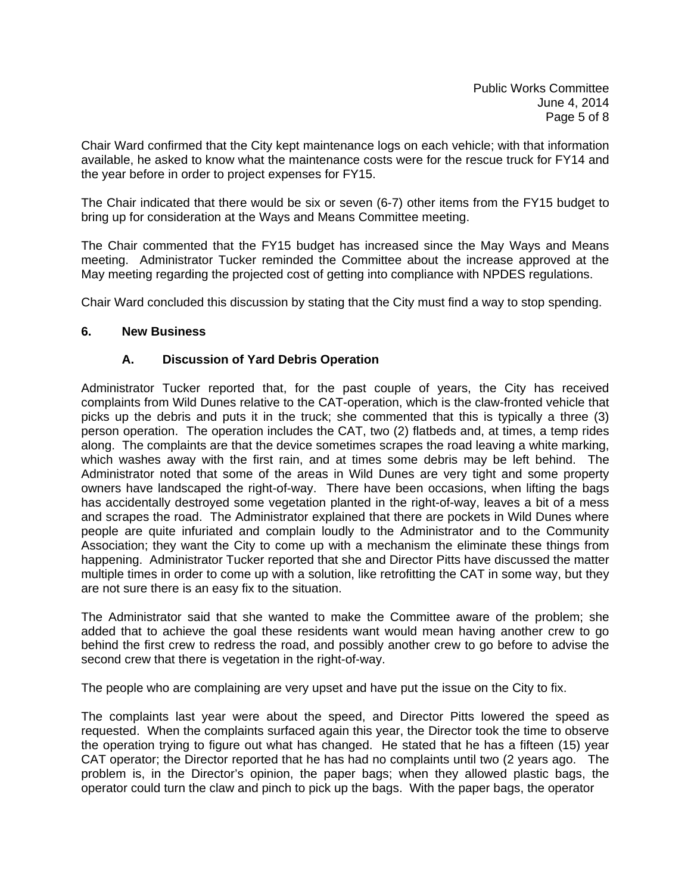Chair Ward confirmed that the City kept maintenance logs on each vehicle; with that information available, he asked to know what the maintenance costs were for the rescue truck for FY14 and the year before in order to project expenses for FY15.

The Chair indicated that there would be six or seven (6-7) other items from the FY15 budget to bring up for consideration at the Ways and Means Committee meeting.

The Chair commented that the FY15 budget has increased since the May Ways and Means meeting. Administrator Tucker reminded the Committee about the increase approved at the May meeting regarding the projected cost of getting into compliance with NPDES regulations.

Chair Ward concluded this discussion by stating that the City must find a way to stop spending.

#### **6. New Business**

# **A. Discussion of Yard Debris Operation**

Administrator Tucker reported that, for the past couple of years, the City has received complaints from Wild Dunes relative to the CAT-operation, which is the claw-fronted vehicle that picks up the debris and puts it in the truck; she commented that this is typically a three (3) person operation. The operation includes the CAT, two (2) flatbeds and, at times, a temp rides along. The complaints are that the device sometimes scrapes the road leaving a white marking, which washes away with the first rain, and at times some debris may be left behind. The Administrator noted that some of the areas in Wild Dunes are very tight and some property owners have landscaped the right-of-way. There have been occasions, when lifting the bags has accidentally destroyed some vegetation planted in the right-of-way, leaves a bit of a mess and scrapes the road. The Administrator explained that there are pockets in Wild Dunes where people are quite infuriated and complain loudly to the Administrator and to the Community Association; they want the City to come up with a mechanism the eliminate these things from happening. Administrator Tucker reported that she and Director Pitts have discussed the matter multiple times in order to come up with a solution, like retrofitting the CAT in some way, but they are not sure there is an easy fix to the situation.

The Administrator said that she wanted to make the Committee aware of the problem; she added that to achieve the goal these residents want would mean having another crew to go behind the first crew to redress the road, and possibly another crew to go before to advise the second crew that there is vegetation in the right-of-way.

The people who are complaining are very upset and have put the issue on the City to fix.

The complaints last year were about the speed, and Director Pitts lowered the speed as requested. When the complaints surfaced again this year, the Director took the time to observe the operation trying to figure out what has changed. He stated that he has a fifteen (15) year CAT operator; the Director reported that he has had no complaints until two (2 years ago. The problem is, in the Director's opinion, the paper bags; when they allowed plastic bags, the operator could turn the claw and pinch to pick up the bags. With the paper bags, the operator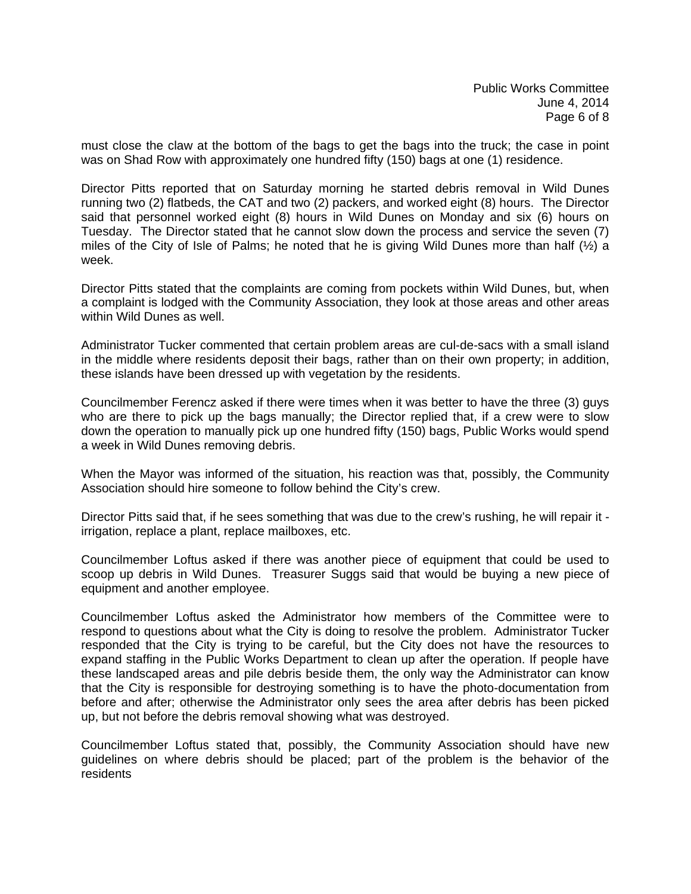must close the claw at the bottom of the bags to get the bags into the truck; the case in point was on Shad Row with approximately one hundred fifty (150) bags at one (1) residence.

Director Pitts reported that on Saturday morning he started debris removal in Wild Dunes running two (2) flatbeds, the CAT and two (2) packers, and worked eight (8) hours. The Director said that personnel worked eight (8) hours in Wild Dunes on Monday and six (6) hours on Tuesday. The Director stated that he cannot slow down the process and service the seven (7) miles of the City of Isle of Palms; he noted that he is giving Wild Dunes more than half  $(\frac{1}{2})$  a week.

Director Pitts stated that the complaints are coming from pockets within Wild Dunes, but, when a complaint is lodged with the Community Association, they look at those areas and other areas within Wild Dunes as well.

Administrator Tucker commented that certain problem areas are cul-de-sacs with a small island in the middle where residents deposit their bags, rather than on their own property; in addition, these islands have been dressed up with vegetation by the residents.

Councilmember Ferencz asked if there were times when it was better to have the three (3) guys who are there to pick up the bags manually; the Director replied that, if a crew were to slow down the operation to manually pick up one hundred fifty (150) bags, Public Works would spend a week in Wild Dunes removing debris.

When the Mayor was informed of the situation, his reaction was that, possibly, the Community Association should hire someone to follow behind the City's crew.

Director Pitts said that, if he sees something that was due to the crew's rushing, he will repair it irrigation, replace a plant, replace mailboxes, etc.

Councilmember Loftus asked if there was another piece of equipment that could be used to scoop up debris in Wild Dunes. Treasurer Suggs said that would be buying a new piece of equipment and another employee.

Councilmember Loftus asked the Administrator how members of the Committee were to respond to questions about what the City is doing to resolve the problem. Administrator Tucker responded that the City is trying to be careful, but the City does not have the resources to expand staffing in the Public Works Department to clean up after the operation. If people have these landscaped areas and pile debris beside them, the only way the Administrator can know that the City is responsible for destroying something is to have the photo-documentation from before and after; otherwise the Administrator only sees the area after debris has been picked up, but not before the debris removal showing what was destroyed.

Councilmember Loftus stated that, possibly, the Community Association should have new guidelines on where debris should be placed; part of the problem is the behavior of the residents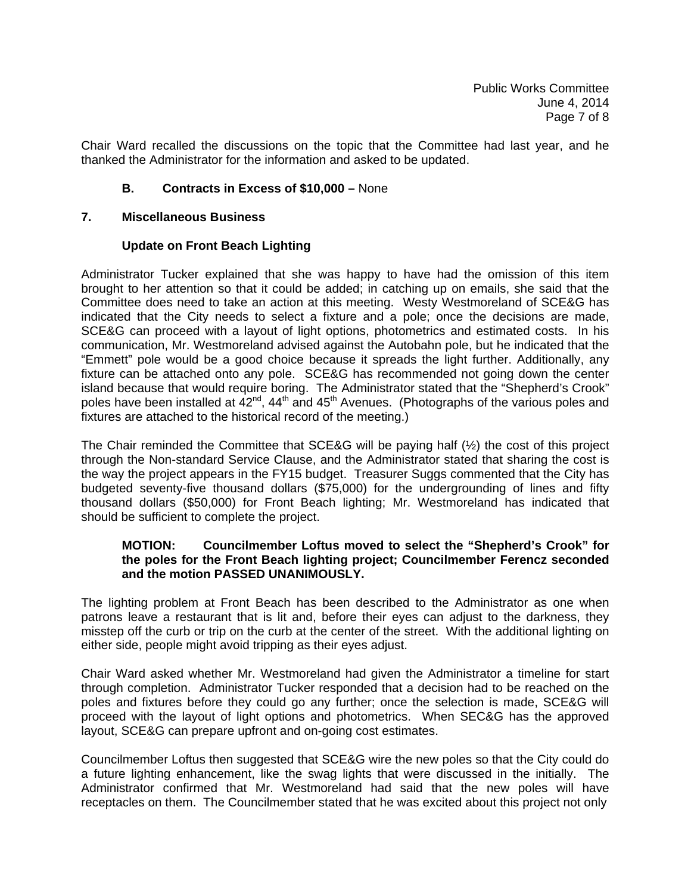Chair Ward recalled the discussions on the topic that the Committee had last year, and he thanked the Administrator for the information and asked to be updated.

#### **B. Contracts in Excess of \$10,000 –** None

#### **7. Miscellaneous Business**

#### **Update on Front Beach Lighting**

Administrator Tucker explained that she was happy to have had the omission of this item brought to her attention so that it could be added; in catching up on emails, she said that the Committee does need to take an action at this meeting. Westy Westmoreland of SCE&G has indicated that the City needs to select a fixture and a pole; once the decisions are made, SCE&G can proceed with a layout of light options, photometrics and estimated costs. In his communication, Mr. Westmoreland advised against the Autobahn pole, but he indicated that the "Emmett" pole would be a good choice because it spreads the light further. Additionally, any fixture can be attached onto any pole. SCE&G has recommended not going down the center island because that would require boring. The Administrator stated that the "Shepherd's Crook" poles have been installed at 42<sup>nd</sup>, 44<sup>th</sup> and 45<sup>th</sup> Avenues. (Photographs of the various poles and fixtures are attached to the historical record of the meeting.)

The Chair reminded the Committee that SCE&G will be paying half (½) the cost of this project through the Non-standard Service Clause, and the Administrator stated that sharing the cost is the way the project appears in the FY15 budget. Treasurer Suggs commented that the City has budgeted seventy-five thousand dollars (\$75,000) for the undergrounding of lines and fifty thousand dollars (\$50,000) for Front Beach lighting; Mr. Westmoreland has indicated that should be sufficient to complete the project.

#### **MOTION: Councilmember Loftus moved to select the "Shepherd's Crook" for the poles for the Front Beach lighting project; Councilmember Ferencz seconded and the motion PASSED UNANIMOUSLY.**

The lighting problem at Front Beach has been described to the Administrator as one when patrons leave a restaurant that is lit and, before their eyes can adjust to the darkness, they misstep off the curb or trip on the curb at the center of the street. With the additional lighting on either side, people might avoid tripping as their eyes adjust.

Chair Ward asked whether Mr. Westmoreland had given the Administrator a timeline for start through completion. Administrator Tucker responded that a decision had to be reached on the poles and fixtures before they could go any further; once the selection is made, SCE&G will proceed with the layout of light options and photometrics. When SEC&G has the approved layout, SCE&G can prepare upfront and on-going cost estimates.

Councilmember Loftus then suggested that SCE&G wire the new poles so that the City could do a future lighting enhancement, like the swag lights that were discussed in the initially. The Administrator confirmed that Mr. Westmoreland had said that the new poles will have receptacles on them. The Councilmember stated that he was excited about this project not only